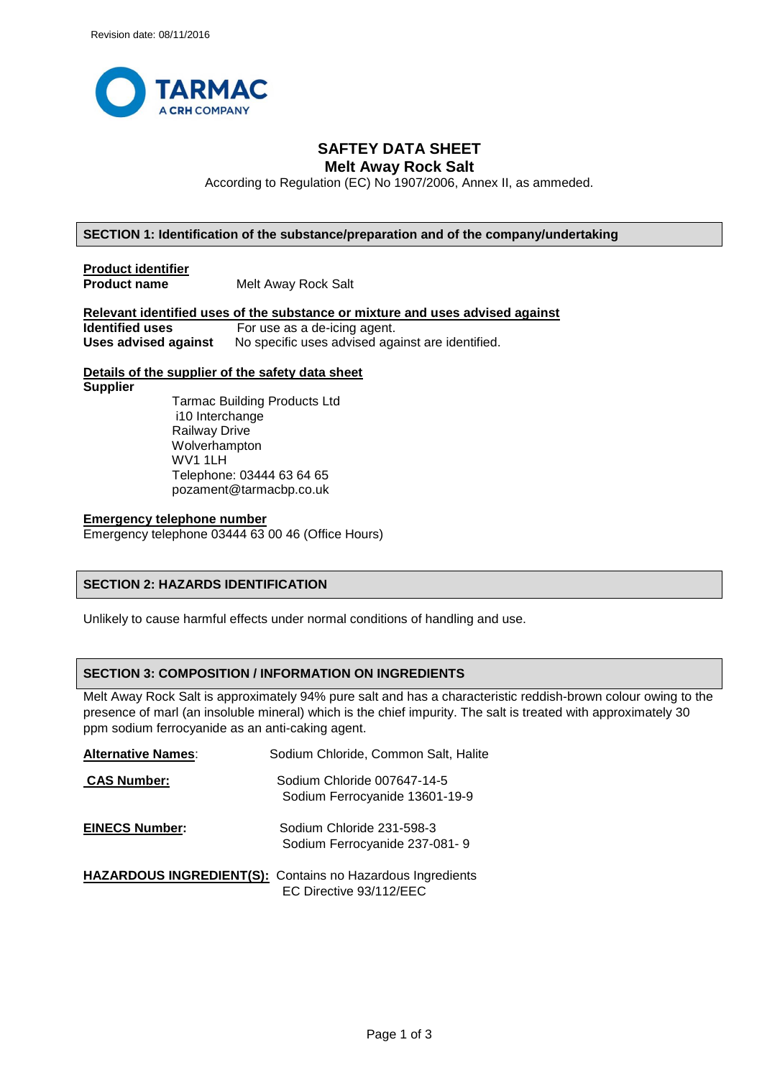

# **SAFTEY DATA SHEET Melt Away Rock Salt**

According to Regulation (EC) No 1907/2006, Annex II, as ammeded.

## **SECTION 1: Identification of the substance/preparation and of the company/undertaking**

**Product identifier Product name** Melt Away Rock Salt

**Relevant identified uses of the substance or mixture and uses advised against identified uses** For use as a de-icing agent. For use as a de-icing agent. **Uses advised against** No specific uses advised against are identified.

## **Details of the supplier of the safety data sheet**

**Supplier**

 Tarmac Building Products Ltd i10 Interchange Railway Drive Wolverhampton WV1 1LH Telephone: 03444 63 64 65 pozament@tarmacbp.co.uk

### **Emergency telephone number**

Emergency telephone 03444 63 00 46 (Office Hours)

# **SECTION 2: HAZARDS IDENTIFICATION**

Unlikely to cause harmful effects under normal conditions of handling and use.

# **SECTION 3: COMPOSITION / INFORMATION ON INGREDIENTS**

Melt Away Rock Salt is approximately 94% pure salt and has a characteristic reddish-brown colour owing to the presence of marl (an insoluble mineral) which is the chief impurity. The salt is treated with approximately 30 ppm sodium ferrocyanide as an anti-caking agent.

| <b>Alternative Names:</b> | Sodium Chloride, Common Salt, Halite                          |
|---------------------------|---------------------------------------------------------------|
| <b>CAS Number:</b>        | Sodium Chloride 007647-14-5<br>Sodium Ferrocyanide 13601-19-9 |
| <b>EINECS Number:</b>     | Sodium Chloride 231-598-3<br>Sodium Ferrocyanide 237-081-9    |
|                           | HAZARDOUS INGREDIENT(S): Contains no Hazardous Ingredients    |
|                           | EC Directive 93/112/EEC                                       |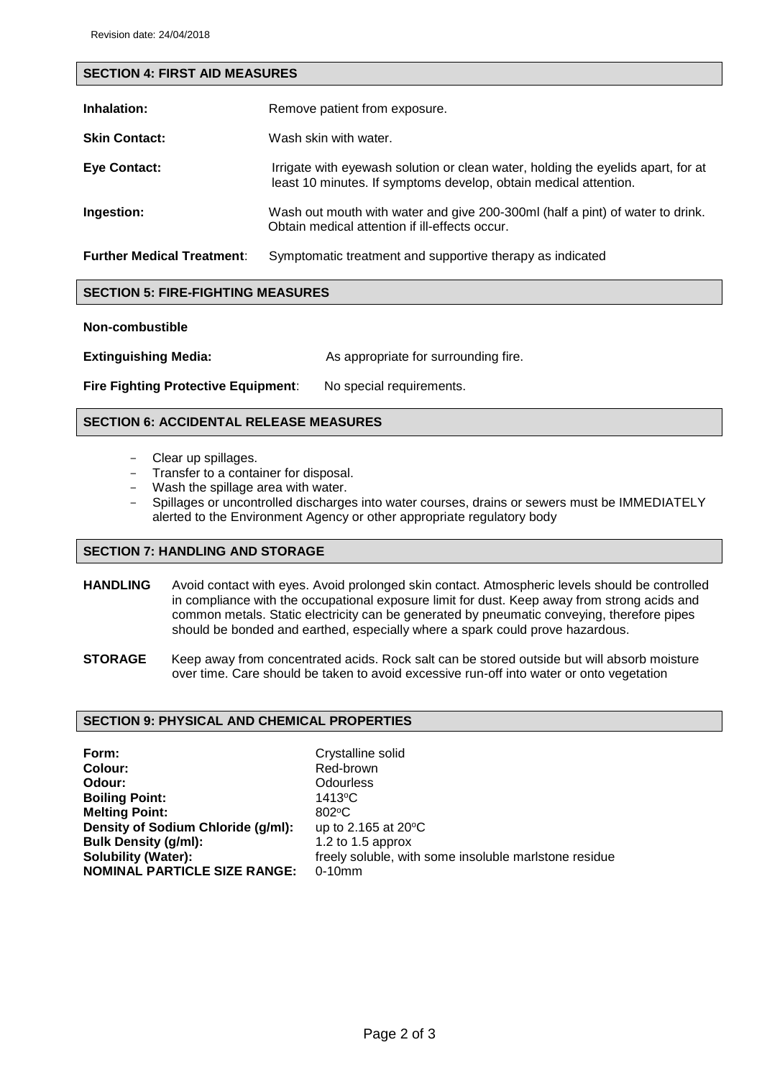| <b>SECTION 4: FIRST AID MEASURES</b> |                                                                                                                                                      |  |
|--------------------------------------|------------------------------------------------------------------------------------------------------------------------------------------------------|--|
| Inhalation:                          | Remove patient from exposure.                                                                                                                        |  |
| <b>Skin Contact:</b>                 | Wash skin with water.                                                                                                                                |  |
|                                      |                                                                                                                                                      |  |
| <b>Eye Contact:</b>                  | Irrigate with eyewash solution or clean water, holding the eyelids apart, for at<br>least 10 minutes. If symptoms develop, obtain medical attention. |  |
| Ingestion:                           | Wash out mouth with water and give 200-300ml (half a pint) of water to drink.<br>Obtain medical attention if ill-effects occur.                      |  |
| <b>Further Medical Treatment:</b>    | Symptomatic treatment and supportive therapy as indicated                                                                                            |  |

# **SECTION 5: FIRE-FIGHTING MEASURES**

## **Non-combustible**

**Extinguishing Media:** As appropriate for surrounding fire.

**Fire Fighting Protective Equipment:** No special requirements.

# **SECTION 6: ACCIDENTAL RELEASE MEASURES**

- Clear up spillages.
- Transfer to a container for disposal.
- Wash the spillage area with water.
- Spillages or uncontrolled discharges into water courses, drains or sewers must be IMMEDIATELY alerted to the Environment Agency or other appropriate regulatory body

## **SECTION 7: HANDLING AND STORAGE**

- **HANDLING** Avoid contact with eyes. Avoid prolonged skin contact. Atmospheric levels should be controlled in compliance with the occupational exposure limit for dust. Keep away from strong acids and common metals. Static electricity can be generated by pneumatic conveying, therefore pipes should be bonded and earthed, especially where a spark could prove hazardous.
- **STORAGE** Keep away from concentrated acids. Rock salt can be stored outside but will absorb moisture over time. Care should be taken to avoid excessive run-off into water or onto vegetation

# **SECTION 9: PHYSICAL AND CHEMICAL PROPERTIES**

**Form: Colour: Odour: Boiling Point: Melting Point: Density of Sodium Chloride (g/ml): Bulk Density (g/ml): Solubility (Water): NOMINAL PARTICLE SIZE RANGE:** Crystalline solid Red-brown **Odourless** 1413<sup>o</sup>C 802<sup>o</sup>C up to 2.165 at 20°C 1.2 to 1.5 approx freely soluble, with some insoluble marlstone residue 0-10mm